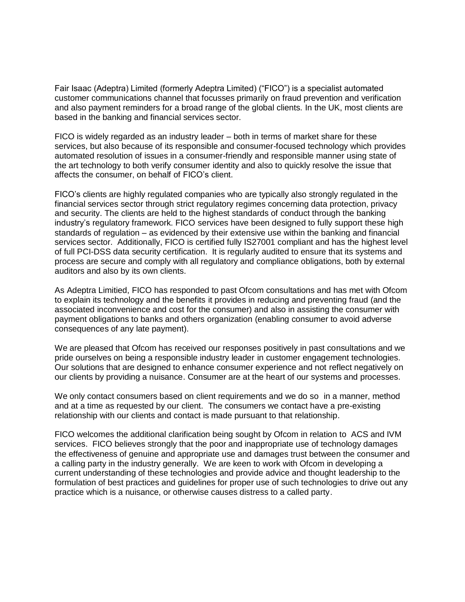Fair Isaac (Adeptra) Limited (formerly Adeptra Limited) ("FICO") is a specialist automated customer communications channel that focusses primarily on fraud prevention and verification and also payment reminders for a broad range of the global clients. In the UK, most clients are based in the banking and financial services sector.

FICO is widely regarded as an industry leader – both in terms of market share for these services, but also because of its responsible and consumer-focused technology which provides automated resolution of issues in a consumer-friendly and responsible manner using state of the art technology to both verify consumer identity and also to quickly resolve the issue that affects the consumer, on behalf of FICO's client.

FICO's clients are highly regulated companies who are typically also strongly regulated in the financial services sector through strict regulatory regimes concerning data protection, privacy and security. The clients are held to the highest standards of conduct through the banking industry's regulatory framework. FICO services have been designed to fully support these high standards of regulation – as evidenced by their extensive use within the banking and financial services sector. Additionally, FICO is certified fully IS27001 compliant and has the highest level of full PCI-DSS data security certification. It is regularly audited to ensure that its systems and process are secure and comply with all regulatory and compliance obligations, both by external auditors and also by its own clients.

As Adeptra Limitied, FICO has responded to past Ofcom consultations and has met with Ofcom to explain its technology and the benefits it provides in reducing and preventing fraud (and the associated inconvenience and cost for the consumer) and also in assisting the consumer with payment obligations to banks and others organization (enabling consumer to avoid adverse consequences of any late payment).

We are pleased that Ofcom has received our responses positively in past consultations and we pride ourselves on being a responsible industry leader in customer engagement technologies. Our solutions that are designed to enhance consumer experience and not reflect negatively on our clients by providing a nuisance. Consumer are at the heart of our systems and processes.

We only contact consumers based on client requirements and we do so in a manner, method and at a time as requested by our client. The consumers we contact have a pre-existing relationship with our clients and contact is made pursuant to that relationship.

FICO welcomes the additional clarification being sought by Ofcom in relation to ACS and IVM services. FICO believes strongly that the poor and inappropriate use of technology damages the effectiveness of genuine and appropriate use and damages trust between the consumer and a calling party in the industry generally. We are keen to work with Ofcom in developing a current understanding of these technologies and provide advice and thought leadership to the formulation of best practices and guidelines for proper use of such technologies to drive out any practice which is a nuisance, or otherwise causes distress to a called party.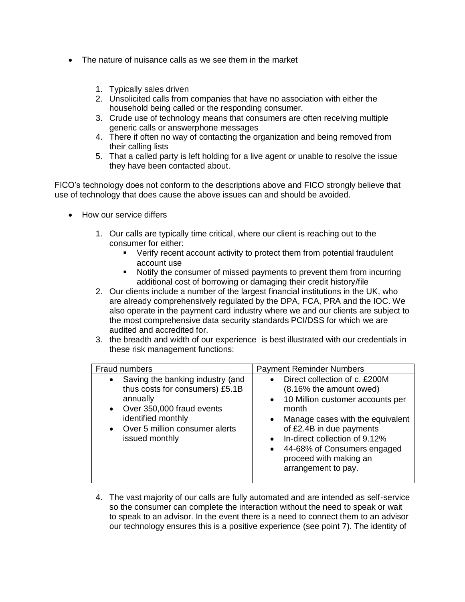- The nature of nuisance calls as we see them in the market
	- 1. Typically sales driven
	- 2. Unsolicited calls from companies that have no association with either the household being called or the responding consumer.
	- 3. Crude use of technology means that consumers are often receiving multiple generic calls or answerphone messages
	- 4. There if often no way of contacting the organization and being removed from their calling lists
	- 5. That a called party is left holding for a live agent or unable to resolve the issue they have been contacted about.

FICO's technology does not conform to the descriptions above and FICO strongly believe that use of technology that does cause the above issues can and should be avoided.

- How our service differs
	- 1. Our calls are typically time critical, where our client is reaching out to the consumer for either:
		- Verify recent account activity to protect them from potential fraudulent account use
		- Notify the consumer of missed payments to prevent them from incurring additional cost of borrowing or damaging their credit history/file
	- 2. Our clients include a number of the largest financial institutions in the UK, who are already comprehensively regulated by the DPA, FCA, PRA and the IOC. We also operate in the payment card industry where we and our clients are subject to the most comprehensive data security standards PCI/DSS for which we are audited and accredited for.
	- 3. the breadth and width of our experience is best illustrated with our credentials in these risk management functions:

| Fraud numbers                                                                                                                                                                                                    | <b>Payment Reminder Numbers</b>                                                                                                                                                                                                                                                                                                                         |
|------------------------------------------------------------------------------------------------------------------------------------------------------------------------------------------------------------------|---------------------------------------------------------------------------------------------------------------------------------------------------------------------------------------------------------------------------------------------------------------------------------------------------------------------------------------------------------|
| Saving the banking industry (and<br>thus costs for consumers) £5.1B<br>annually<br>Over 350,000 fraud events<br>$\bullet$<br>identified monthly<br>Over 5 million consumer alerts<br>$\bullet$<br>issued monthly | Direct collection of c. £200M<br>$\bullet$<br>(8.16% the amount owed)<br>10 Million customer accounts per<br>$\bullet$<br>month<br>Manage cases with the equivalent<br>$\bullet$<br>of £2.4B in due payments<br>In-direct collection of 9.12%<br>$\bullet$<br>44-68% of Consumers engaged<br>$\bullet$<br>proceed with making an<br>arrangement to pay. |

4. The vast majority of our calls are fully automated and are intended as self-service so the consumer can complete the interaction without the need to speak or wait to speak to an advisor. In the event there is a need to connect them to an advisor our technology ensures this is a positive experience (see point 7). The identity of